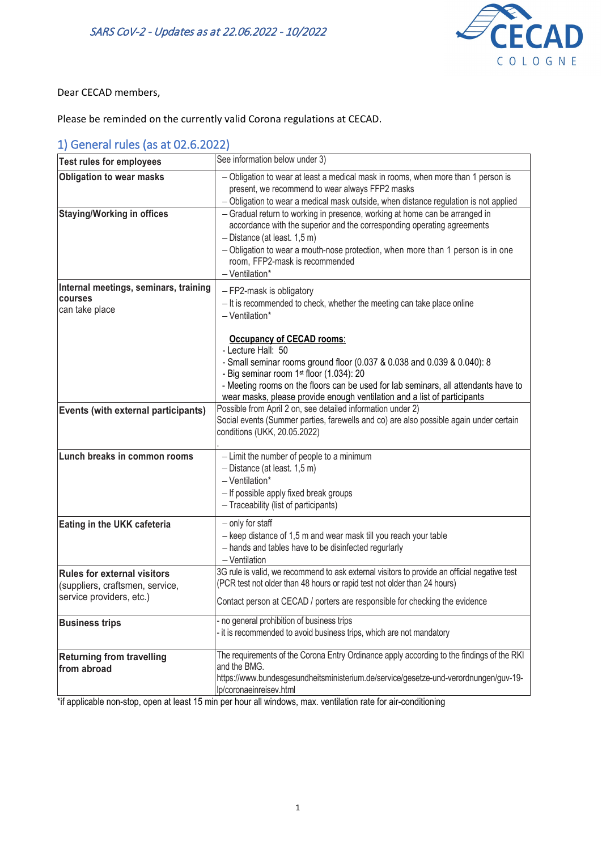

Dear CECAD members,

Please be reminded on the currently valid Corona regulations at CECAD.

### 1) General rules (as at 02.6.2022)

| <b>Test rules for employees</b>                 | See information below under 3)                                                                                                                                                                                                                                                                                                    |
|-------------------------------------------------|-----------------------------------------------------------------------------------------------------------------------------------------------------------------------------------------------------------------------------------------------------------------------------------------------------------------------------------|
| <b>Obligation to wear masks</b>                 | - Obligation to wear at least a medical mask in rooms, when more than 1 person is<br>present, we recommend to wear always FFP2 masks                                                                                                                                                                                              |
|                                                 | - Obligation to wear a medical mask outside, when distance regulation is not applied                                                                                                                                                                                                                                              |
| <b>Staying/Working in offices</b>               | - Gradual return to working in presence, working at home can be arranged in<br>accordance with the superior and the corresponding operating agreements<br>$-$ Distance (at least. 1,5 m)<br>- Obligation to wear a mouth-nose protection, when more than 1 person is in one<br>room, FFP2-mask is recommended<br>$-$ Ventilation* |
| Internal meetings, seminars, training           | - FP2-mask is obligatory                                                                                                                                                                                                                                                                                                          |
| courses<br>can take place                       | - It is recommended to check, whether the meeting can take place online<br>$-V$ entilation*                                                                                                                                                                                                                                       |
|                                                 | <b>Occupancy of CECAD rooms:</b>                                                                                                                                                                                                                                                                                                  |
|                                                 | - Lecture Hall: 50                                                                                                                                                                                                                                                                                                                |
|                                                 | - Small seminar rooms ground floor (0.037 & 0.038 and 0.039 & 0.040): 8<br>- Big seminar room 1st floor (1.034): 20                                                                                                                                                                                                               |
|                                                 | - Meeting rooms on the floors can be used for lab seminars, all attendants have to<br>wear masks, please provide enough ventilation and a list of participants                                                                                                                                                                    |
| Events (with external participants)             | Possible from April 2 on, see detailed information under 2)<br>Social events (Summer parties, farewells and co) are also possible again under certain<br>conditions (UKK, 20.05.2022)                                                                                                                                             |
| Lunch breaks in common rooms                    | - Limit the number of people to a minimum<br>$-$ Distance (at least. 1,5 m)<br>$-$ Ventilation*<br>- If possible apply fixed break groups<br>- Traceability (list of participants)                                                                                                                                                |
| Eating in the UKK cafeteria                     | - only for staff<br>- keep distance of 1,5 m and wear mask till you reach your table<br>- hands and tables have to be disinfected regurlarly<br>$-$ Ventilation                                                                                                                                                                   |
| <b>Rules for external visitors</b>              | 3G rule is valid, we recommend to ask external visitors to provide an official negative test                                                                                                                                                                                                                                      |
| (suppliers, craftsmen, service,                 | (PCR test not older than 48 hours or rapid test not older than 24 hours)                                                                                                                                                                                                                                                          |
| service providers, etc.)                        | Contact person at CECAD / porters are responsible for checking the evidence                                                                                                                                                                                                                                                       |
| <b>Business trips</b>                           | - no general prohibition of business trips<br>- it is recommended to avoid business trips, which are not mandatory                                                                                                                                                                                                                |
| <b>Returning from travelling</b><br>from abroad | The requirements of the Corona Entry Ordinance apply according to the findings of the RKI<br>and the BMG.<br>https://www.bundesgesundheitsministerium.de/service/gesetze-und-verordnungen/guv-19-<br>lp/coronaeinreisev.html                                                                                                      |

\*if applicable non-stop, open at least 15 min per hour all windows, max. ventilation rate for air-conditioning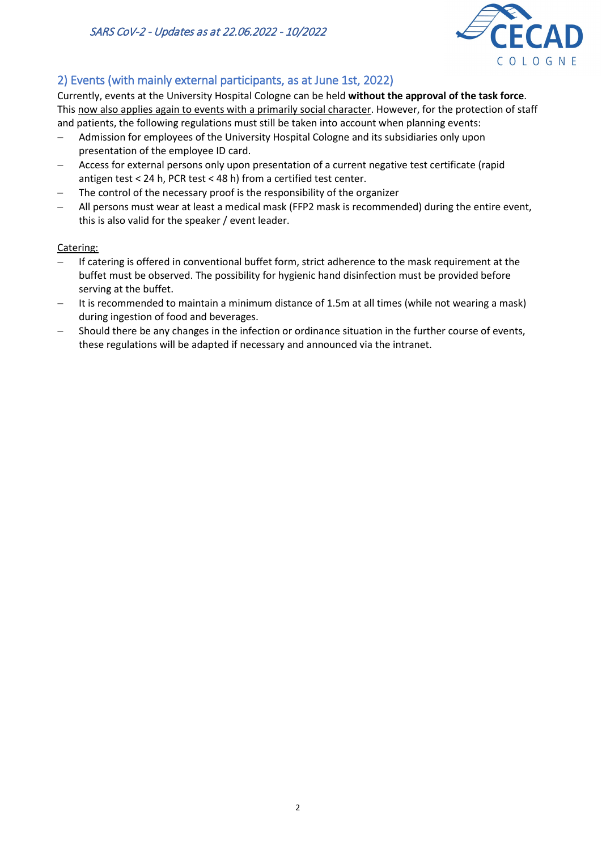

# 2) Events (with mainly external participants, as at June 1st, 2022)

Currently, events at the University Hospital Cologne can be held **without the approval of the task force**. This now also applies again to events with a primarily social character. However, for the protection of staff and patients, the following regulations must still be taken into account when planning events:

- − Admission for employees of the University Hospital Cologne and its subsidiaries only upon presentation of the employee ID card.
- − Access for external persons only upon presentation of a current negative test certificate (rapid antigen test < 24 h, PCR test < 48 h) from a certified test center.
- − The control of the necessary proof is the responsibility of the organizer
- All persons must wear at least a medical mask (FFP2 mask is recommended) during the entire event, this is also valid for the speaker / event leader.

### Catering:

- If catering is offered in conventional buffet form, strict adherence to the mask requirement at the buffet must be observed. The possibility for hygienic hand disinfection must be provided before serving at the buffet.
- It is recommended to maintain a minimum distance of 1.5m at all times (while not wearing a mask) during ingestion of food and beverages.
- Should there be any changes in the infection or ordinance situation in the further course of events, these regulations will be adapted if necessary and announced via the intranet.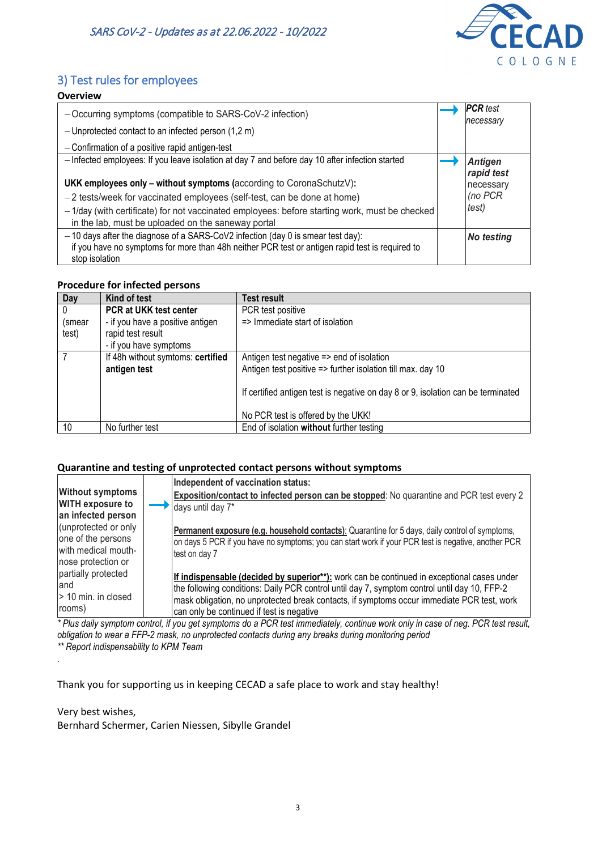

# 3) Test rules for employees

| -Occurring symptoms (compatible to SARS-CoV-2 infection)<br>- Unprotected contact to an infected person $(1,2, m)$                                   | <b>PCR</b> test<br>necessary |
|------------------------------------------------------------------------------------------------------------------------------------------------------|------------------------------|
| - Confirmation of a positive rapid antigen-test                                                                                                      |                              |
| - Infected employees: If you leave isolation at day 7 and before day 10 after infection started                                                      | <b>Antigen</b><br>rapid test |
| <b>UKK employees only – without symptoms (according to CoronaSchutzV):</b>                                                                           | necessary                    |
| $-2$ tests/week for vaccinated employees (self-test, can be done at home)                                                                            | (no PCR                      |
| - 1/day (with certificate) for not vaccinated employees: before starting work, must be checked<br>in the lab, must be uploaded on the saneway portal | test)                        |
| $-10$ days after the diagnose of a SARS-CoV2 infection (day 0 is smear test day):                                                                    | No testing                   |
| if you have no symptoms for more than 48h neither PCR test or antigen rapid test is required to                                                      |                              |
| stop isolation                                                                                                                                       |                              |

#### **Procedure for infected persons**

| Day      | Kind of test                      | <b>Test result</b>                                                               |
|----------|-----------------------------------|----------------------------------------------------------------------------------|
| $\Omega$ | PCR at UKK test center            | PCR test positive                                                                |
| (smear   | - if you have a positive antigen  | => Immediate start of isolation                                                  |
| test)    | rapid test result                 |                                                                                  |
|          | - if you have symptoms            |                                                                                  |
|          | If 48h without symtoms: certified | Antigen test negative => end of isolation                                        |
|          | antigen test                      | Antigen test positive => further isolation till max. day 10                      |
|          |                                   | If certified antigen test is negative on day 8 or 9, isolation can be terminated |
|          |                                   | No PCR test is offered by the UKK!                                               |
| 10       | No further test                   | End of isolation without further testing                                         |

#### **Quarantine and testing of unprotected contact persons without symptoms**

| <b>Without symptoms</b><br><b>WITH exposure to</b><br>an infected person                | Independent of vaccination status:<br>Exposition/contact to infected person can be stopped: No quarantine and PCR test every 2<br>days until day 7*                                                                                                                                                                                   |
|-----------------------------------------------------------------------------------------|---------------------------------------------------------------------------------------------------------------------------------------------------------------------------------------------------------------------------------------------------------------------------------------------------------------------------------------|
| (unprotected or only<br>one of the persons<br>with medical mouth-<br>nose protection or | Permanent exposure (e.g. household contacts): Quarantine for 5 days, daily control of symptoms,<br>on days 5 PCR if you have no symptoms; you can start work if your PCR test is negative, another PCR<br>test on day 7                                                                                                               |
| partially protected<br>and<br>$>$ 10 min. in closed<br>rooms)                           | If indispensable (decided by superior**): work can be continued in exceptional cases under<br>the following conditions: Daily PCR control until day 7, symptom control until day 10, FFP-2<br>mask obligation, no unprotected break contacts, if symptoms occur immediate PCR test, work<br>can only be continued if test is negative |

*\* Plus daily symptom control, if you get symptoms do a PCR test immediately, continue work only in case of neg. PCR test result, obligation to wear a FFP-2 mask, no unprotected contacts during any breaks during monitoring period \*\* Report indispensability to KPM Team*

Thank you for supporting us in keeping CECAD a safe place to work and stay healthy!

Very best wishes,

*.*

Bernhard Schermer, Carien Niessen, Sibylle Grandel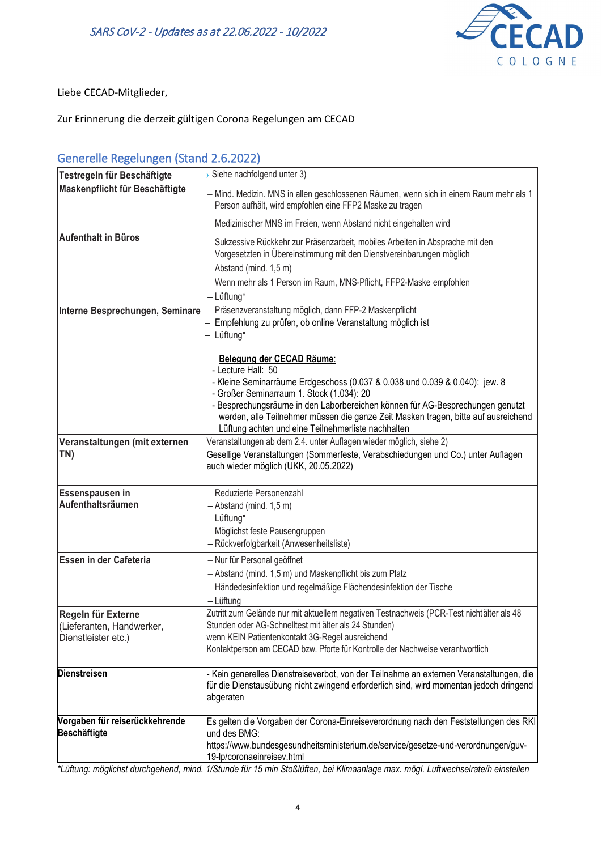

Liebe CECAD-Mitglieder,

Zur Erinnerung die derzeit gültigen Corona Regelungen am CECAD

### Generelle Regelungen (Stand 2.6.2022)

| – Mind. Medizin. MNS in allen geschlossenen Räumen, wenn sich in einem Raum mehr als 1<br>Person aufhält, wird empfohlen eine FFP2 Maske zu tragen<br>Medizinischer MNS im Freien, wenn Abstand nicht eingehalten wird<br>- Sukzessive Rückkehr zur Präsenzarbeit, mobiles Arbeiten in Absprache mit den<br>Vorgesetzten in Übereinstimmung mit den Dienstvereinbarungen möglich<br>- Abstand (mind. 1,5 m)<br>- Wenn mehr als 1 Person im Raum, MNS-Pflicht, FFP2-Maske empfohlen<br>- Lüftung*<br>Präsenzveranstaltung möglich, dann FFP-2 Maskenpflicht<br>Interne Besprechungen, Seminare<br>Empfehlung zu prüfen, ob online Veranstaltung möglich ist<br>Lüftung*<br>Belegung der CECAD Räume:<br>- Lecture Hall: 50<br>- Kleine Seminarräume Erdgeschoss (0.037 & 0.038 und 0.039 & 0.040): jew. 8<br>- Großer Seminarraum 1. Stock (1.034): 20<br>- Besprechungsräume in den Laborbereichen können für AG-Besprechungen genutzt<br>werden, alle Teilnehmer müssen die ganze Zeit Masken tragen, bitte auf ausreichend<br>Lüftung achten und eine Teilnehmerliste nachhalten<br>Veranstaltungen ab dem 2.4. unter Auflagen wieder möglich, siehe 2)<br>Veranstaltungen (mit externen<br>TN)<br>Gesellige Veranstaltungen (Sommerfeste, Verabschiedungen und Co.) unter Auflagen<br>auch wieder möglich (UKK, 20.05.2022)<br>- Reduzierte Personenzahl<br>- Abstand (mind. 1,5 m)<br>-Lüftung*<br>- Möglichst feste Pausengruppen<br>- Rückverfolgbarkeit (Anwesenheitsliste)<br>Essen in der Cafeteria<br>- Nur für Personal geöffnet<br>- Abstand (mind. 1,5 m) und Maskenpflicht bis zum Platz<br>- Händedesinfektion und regelmäßige Flächendesinfektion der Tische<br>- Lüftung<br>Zutritt zum Gelände nur mit aktuellem negativen Testnachweis (PCR-Test nichtälter als 48<br>Stunden oder AG-Schnelltest mit älter als 24 Stunden)<br>(Lieferanten, Handwerker,<br>wenn KEIN Patientenkontakt 3G-Regel ausreichend<br>Dienstleister etc.)<br>Kontaktperson am CECAD bzw. Pforte für Kontrolle der Nachweise verantwortlich<br><b>Dienstreisen</b><br>- Kein generelles Dienstreiseverbot, von der Teilnahme an externen Veranstaltungen, die<br>für die Dienstausübung nicht zwingend erforderlich sind, wird momentan jedoch dringend<br>abgeraten<br>und des BMG:<br>https://www.bundesgesundheitsministerium.de/service/gesetze-und-verordnungen/guv- | Testregeln für Beschäftigte    | Siehe nachfolgend unter 3) |
|----------------------------------------------------------------------------------------------------------------------------------------------------------------------------------------------------------------------------------------------------------------------------------------------------------------------------------------------------------------------------------------------------------------------------------------------------------------------------------------------------------------------------------------------------------------------------------------------------------------------------------------------------------------------------------------------------------------------------------------------------------------------------------------------------------------------------------------------------------------------------------------------------------------------------------------------------------------------------------------------------------------------------------------------------------------------------------------------------------------------------------------------------------------------------------------------------------------------------------------------------------------------------------------------------------------------------------------------------------------------------------------------------------------------------------------------------------------------------------------------------------------------------------------------------------------------------------------------------------------------------------------------------------------------------------------------------------------------------------------------------------------------------------------------------------------------------------------------------------------------------------------------------------------------------------------------------------------------------------------------------------------------------------------------------------------------------------------------------------------------------------------------------------------------------------------------------------------------------------------------------------------------------------------------------------------------------------------------------------------------|--------------------------------|----------------------------|
|                                                                                                                                                                                                                                                                                                                                                                                                                                                                                                                                                                                                                                                                                                                                                                                                                                                                                                                                                                                                                                                                                                                                                                                                                                                                                                                                                                                                                                                                                                                                                                                                                                                                                                                                                                                                                                                                                                                                                                                                                                                                                                                                                                                                                                                                                                                                                                      | Maskenpflicht für Beschäftigte |                            |
|                                                                                                                                                                                                                                                                                                                                                                                                                                                                                                                                                                                                                                                                                                                                                                                                                                                                                                                                                                                                                                                                                                                                                                                                                                                                                                                                                                                                                                                                                                                                                                                                                                                                                                                                                                                                                                                                                                                                                                                                                                                                                                                                                                                                                                                                                                                                                                      |                                |                            |
|                                                                                                                                                                                                                                                                                                                                                                                                                                                                                                                                                                                                                                                                                                                                                                                                                                                                                                                                                                                                                                                                                                                                                                                                                                                                                                                                                                                                                                                                                                                                                                                                                                                                                                                                                                                                                                                                                                                                                                                                                                                                                                                                                                                                                                                                                                                                                                      | <b>Aufenthalt in Büros</b>     |                            |
| Es gelten die Vorgaben der Corona-Einreiseverordnung nach den Feststellungen des RKI                                                                                                                                                                                                                                                                                                                                                                                                                                                                                                                                                                                                                                                                                                                                                                                                                                                                                                                                                                                                                                                                                                                                                                                                                                                                                                                                                                                                                                                                                                                                                                                                                                                                                                                                                                                                                                                                                                                                                                                                                                                                                                                                                                                                                                                                                 |                                |                            |
|                                                                                                                                                                                                                                                                                                                                                                                                                                                                                                                                                                                                                                                                                                                                                                                                                                                                                                                                                                                                                                                                                                                                                                                                                                                                                                                                                                                                                                                                                                                                                                                                                                                                                                                                                                                                                                                                                                                                                                                                                                                                                                                                                                                                                                                                                                                                                                      |                                |                            |
|                                                                                                                                                                                                                                                                                                                                                                                                                                                                                                                                                                                                                                                                                                                                                                                                                                                                                                                                                                                                                                                                                                                                                                                                                                                                                                                                                                                                                                                                                                                                                                                                                                                                                                                                                                                                                                                                                                                                                                                                                                                                                                                                                                                                                                                                                                                                                                      |                                |                            |
|                                                                                                                                                                                                                                                                                                                                                                                                                                                                                                                                                                                                                                                                                                                                                                                                                                                                                                                                                                                                                                                                                                                                                                                                                                                                                                                                                                                                                                                                                                                                                                                                                                                                                                                                                                                                                                                                                                                                                                                                                                                                                                                                                                                                                                                                                                                                                                      |                                |                            |
|                                                                                                                                                                                                                                                                                                                                                                                                                                                                                                                                                                                                                                                                                                                                                                                                                                                                                                                                                                                                                                                                                                                                                                                                                                                                                                                                                                                                                                                                                                                                                                                                                                                                                                                                                                                                                                                                                                                                                                                                                                                                                                                                                                                                                                                                                                                                                                      |                                |                            |
|                                                                                                                                                                                                                                                                                                                                                                                                                                                                                                                                                                                                                                                                                                                                                                                                                                                                                                                                                                                                                                                                                                                                                                                                                                                                                                                                                                                                                                                                                                                                                                                                                                                                                                                                                                                                                                                                                                                                                                                                                                                                                                                                                                                                                                                                                                                                                                      |                                |                            |
|                                                                                                                                                                                                                                                                                                                                                                                                                                                                                                                                                                                                                                                                                                                                                                                                                                                                                                                                                                                                                                                                                                                                                                                                                                                                                                                                                                                                                                                                                                                                                                                                                                                                                                                                                                                                                                                                                                                                                                                                                                                                                                                                                                                                                                                                                                                                                                      |                                |                            |
|                                                                                                                                                                                                                                                                                                                                                                                                                                                                                                                                                                                                                                                                                                                                                                                                                                                                                                                                                                                                                                                                                                                                                                                                                                                                                                                                                                                                                                                                                                                                                                                                                                                                                                                                                                                                                                                                                                                                                                                                                                                                                                                                                                                                                                                                                                                                                                      |                                |                            |
|                                                                                                                                                                                                                                                                                                                                                                                                                                                                                                                                                                                                                                                                                                                                                                                                                                                                                                                                                                                                                                                                                                                                                                                                                                                                                                                                                                                                                                                                                                                                                                                                                                                                                                                                                                                                                                                                                                                                                                                                                                                                                                                                                                                                                                                                                                                                                                      |                                |                            |
|                                                                                                                                                                                                                                                                                                                                                                                                                                                                                                                                                                                                                                                                                                                                                                                                                                                                                                                                                                                                                                                                                                                                                                                                                                                                                                                                                                                                                                                                                                                                                                                                                                                                                                                                                                                                                                                                                                                                                                                                                                                                                                                                                                                                                                                                                                                                                                      |                                |                            |
|                                                                                                                                                                                                                                                                                                                                                                                                                                                                                                                                                                                                                                                                                                                                                                                                                                                                                                                                                                                                                                                                                                                                                                                                                                                                                                                                                                                                                                                                                                                                                                                                                                                                                                                                                                                                                                                                                                                                                                                                                                                                                                                                                                                                                                                                                                                                                                      |                                |                            |
|                                                                                                                                                                                                                                                                                                                                                                                                                                                                                                                                                                                                                                                                                                                                                                                                                                                                                                                                                                                                                                                                                                                                                                                                                                                                                                                                                                                                                                                                                                                                                                                                                                                                                                                                                                                                                                                                                                                                                                                                                                                                                                                                                                                                                                                                                                                                                                      | Essenspausen in                |                            |
|                                                                                                                                                                                                                                                                                                                                                                                                                                                                                                                                                                                                                                                                                                                                                                                                                                                                                                                                                                                                                                                                                                                                                                                                                                                                                                                                                                                                                                                                                                                                                                                                                                                                                                                                                                                                                                                                                                                                                                                                                                                                                                                                                                                                                                                                                                                                                                      | Aufenthaltsräumen              |                            |
|                                                                                                                                                                                                                                                                                                                                                                                                                                                                                                                                                                                                                                                                                                                                                                                                                                                                                                                                                                                                                                                                                                                                                                                                                                                                                                                                                                                                                                                                                                                                                                                                                                                                                                                                                                                                                                                                                                                                                                                                                                                                                                                                                                                                                                                                                                                                                                      |                                |                            |
|                                                                                                                                                                                                                                                                                                                                                                                                                                                                                                                                                                                                                                                                                                                                                                                                                                                                                                                                                                                                                                                                                                                                                                                                                                                                                                                                                                                                                                                                                                                                                                                                                                                                                                                                                                                                                                                                                                                                                                                                                                                                                                                                                                                                                                                                                                                                                                      |                                |                            |
|                                                                                                                                                                                                                                                                                                                                                                                                                                                                                                                                                                                                                                                                                                                                                                                                                                                                                                                                                                                                                                                                                                                                                                                                                                                                                                                                                                                                                                                                                                                                                                                                                                                                                                                                                                                                                                                                                                                                                                                                                                                                                                                                                                                                                                                                                                                                                                      |                                |                            |
|                                                                                                                                                                                                                                                                                                                                                                                                                                                                                                                                                                                                                                                                                                                                                                                                                                                                                                                                                                                                                                                                                                                                                                                                                                                                                                                                                                                                                                                                                                                                                                                                                                                                                                                                                                                                                                                                                                                                                                                                                                                                                                                                                                                                                                                                                                                                                                      |                                |                            |
|                                                                                                                                                                                                                                                                                                                                                                                                                                                                                                                                                                                                                                                                                                                                                                                                                                                                                                                                                                                                                                                                                                                                                                                                                                                                                                                                                                                                                                                                                                                                                                                                                                                                                                                                                                                                                                                                                                                                                                                                                                                                                                                                                                                                                                                                                                                                                                      |                                |                            |
|                                                                                                                                                                                                                                                                                                                                                                                                                                                                                                                                                                                                                                                                                                                                                                                                                                                                                                                                                                                                                                                                                                                                                                                                                                                                                                                                                                                                                                                                                                                                                                                                                                                                                                                                                                                                                                                                                                                                                                                                                                                                                                                                                                                                                                                                                                                                                                      |                                |                            |
|                                                                                                                                                                                                                                                                                                                                                                                                                                                                                                                                                                                                                                                                                                                                                                                                                                                                                                                                                                                                                                                                                                                                                                                                                                                                                                                                                                                                                                                                                                                                                                                                                                                                                                                                                                                                                                                                                                                                                                                                                                                                                                                                                                                                                                                                                                                                                                      | Regeln für Externe             |                            |
|                                                                                                                                                                                                                                                                                                                                                                                                                                                                                                                                                                                                                                                                                                                                                                                                                                                                                                                                                                                                                                                                                                                                                                                                                                                                                                                                                                                                                                                                                                                                                                                                                                                                                                                                                                                                                                                                                                                                                                                                                                                                                                                                                                                                                                                                                                                                                                      |                                |                            |
|                                                                                                                                                                                                                                                                                                                                                                                                                                                                                                                                                                                                                                                                                                                                                                                                                                                                                                                                                                                                                                                                                                                                                                                                                                                                                                                                                                                                                                                                                                                                                                                                                                                                                                                                                                                                                                                                                                                                                                                                                                                                                                                                                                                                                                                                                                                                                                      |                                |                            |
|                                                                                                                                                                                                                                                                                                                                                                                                                                                                                                                                                                                                                                                                                                                                                                                                                                                                                                                                                                                                                                                                                                                                                                                                                                                                                                                                                                                                                                                                                                                                                                                                                                                                                                                                                                                                                                                                                                                                                                                                                                                                                                                                                                                                                                                                                                                                                                      |                                |                            |
|                                                                                                                                                                                                                                                                                                                                                                                                                                                                                                                                                                                                                                                                                                                                                                                                                                                                                                                                                                                                                                                                                                                                                                                                                                                                                                                                                                                                                                                                                                                                                                                                                                                                                                                                                                                                                                                                                                                                                                                                                                                                                                                                                                                                                                                                                                                                                                      |                                |                            |
|                                                                                                                                                                                                                                                                                                                                                                                                                                                                                                                                                                                                                                                                                                                                                                                                                                                                                                                                                                                                                                                                                                                                                                                                                                                                                                                                                                                                                                                                                                                                                                                                                                                                                                                                                                                                                                                                                                                                                                                                                                                                                                                                                                                                                                                                                                                                                                      | Vorgaben für reiserückkehrende |                            |
|                                                                                                                                                                                                                                                                                                                                                                                                                                                                                                                                                                                                                                                                                                                                                                                                                                                                                                                                                                                                                                                                                                                                                                                                                                                                                                                                                                                                                                                                                                                                                                                                                                                                                                                                                                                                                                                                                                                                                                                                                                                                                                                                                                                                                                                                                                                                                                      | <b>Beschäftigte</b>            | 19-lp/coronaeinreisev.html |

*\*Lüftung: möglichst durchgehend, mind. 1/Stunde für 15 min Stoßlüften, bei Klimaanlage max. mögl. Luftwechselrate/h einstellen*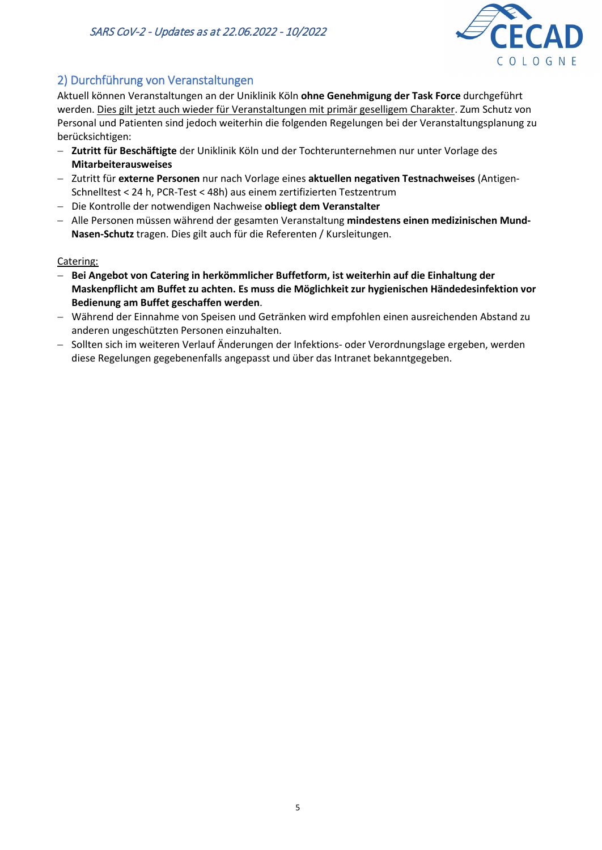

# 2) Durchführung von Veranstaltungen

Aktuell können Veranstaltungen an der Uniklinik Köln **ohne Genehmigung der Task Force** durchgeführt werden. Dies gilt jetzt auch wieder für Veranstaltungen mit primär geselligem Charakter. Zum Schutz von Personal und Patienten sind jedoch weiterhin die folgenden Regelungen bei der Veranstaltungsplanung zu berücksichtigen:

- − **Zutritt für Beschäftigte** der Uniklinik Köln und der Tochterunternehmen nur unter Vorlage des **Mitarbeiterausweises**
- − Zutritt für **externe Personen** nur nach Vorlage eines **aktuellen negativen Testnachweises** (Antigen-Schnelltest < 24 h, PCR-Test < 48h) aus einem zertifizierten Testzentrum
- − Die Kontrolle der notwendigen Nachweise **obliegt dem Veranstalter**
- − Alle Personen müssen während der gesamten Veranstaltung **mindestens einen medizinischen Mund-Nasen-Schutz** tragen. Dies gilt auch für die Referenten / Kursleitungen.

### Catering:

- − **Bei Angebot von Catering in herkömmlicher Buffetform, ist weiterhin auf die Einhaltung der Maskenpflicht am Buffet zu achten. Es muss die Möglichkeit zur hygienischen Händedesinfektion vor Bedienung am Buffet geschaffen werden**.
- − Während der Einnahme von Speisen und Getränken wird empfohlen einen ausreichenden Abstand zu anderen ungeschützten Personen einzuhalten.
- − Sollten sich im weiteren Verlauf Änderungen der Infektions- oder Verordnungslage ergeben, werden diese Regelungen gegebenenfalls angepasst und über das Intranet bekanntgegeben.